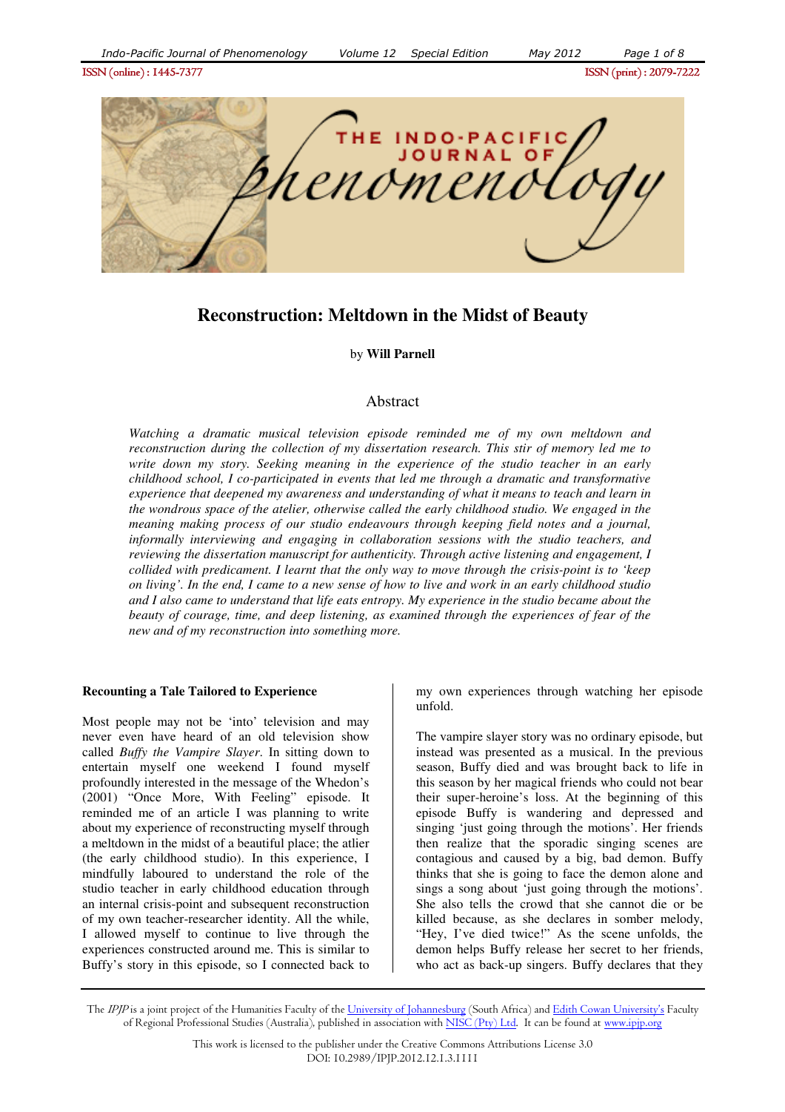

# **Reconstruction: Meltdown in the Midst of Beauty**

by **Will Parnell** 

#### Abstract

*Watching a dramatic musical television episode reminded me of my own meltdown and reconstruction during the collection of my dissertation research. This stir of memory led me to write down my story. Seeking meaning in the experience of the studio teacher in an early childhood school, I co-participated in events that led me through a dramatic and transformative experience that deepened my awareness and understanding of what it means to teach and learn in the wondrous space of the atelier, otherwise called the early childhood studio. We engaged in the meaning making process of our studio endeavours through keeping field notes and a journal, informally interviewing and engaging in collaboration sessions with the studio teachers, and reviewing the dissertation manuscript for authenticity. Through active listening and engagement, I collided with predicament. I learnt that the only way to move through the crisis-point is to 'keep on living'. In the end, I came to a new sense of how to live and work in an early childhood studio and I also came to understand that life eats entropy. My experience in the studio became about the beauty of courage, time, and deep listening, as examined through the experiences of fear of the new and of my reconstruction into something more.* 

#### **Recounting a Tale Tailored to Experience**

Most people may not be 'into' television and may never even have heard of an old television show called *Buffy the Vampire Slayer*. In sitting down to entertain myself one weekend I found myself profoundly interested in the message of the Whedon's (2001) "Once More, With Feeling" episode. It reminded me of an article I was planning to write about my experience of reconstructing myself through a meltdown in the midst of a beautiful place; the atlier (the early childhood studio). In this experience, I mindfully laboured to understand the role of the studio teacher in early childhood education through an internal crisis-point and subsequent reconstruction of my own teacher-researcher identity. All the while, I allowed myself to continue to live through the experiences constructed around me. This is similar to Buffy's story in this episode, so I connected back to my own experiences through watching her episode unfold.

The vampire slayer story was no ordinary episode, but instead was presented as a musical. In the previous season, Buffy died and was brought back to life in this season by her magical friends who could not bear their super-heroine's loss. At the beginning of this episode Buffy is wandering and depressed and singing 'just going through the motions'. Her friends then realize that the sporadic singing scenes are contagious and caused by a big, bad demon. Buffy thinks that she is going to face the demon alone and sings a song about 'just going through the motions'. She also tells the crowd that she cannot die or be killed because, as she declares in somber melody, "Hey, I've died twice!" As the scene unfolds, the demon helps Buffy release her secret to her friends, who act as back-up singers. Buffy declares that they

The IPJP is a joint project of the Humanities Faculty of the University of Johannesburg (South Africa) and Edith Cowan University's Faculty of Regional Professional Studies (Australia), published in association with NISC (Pty) Ltd. It can be found at www.ipip.org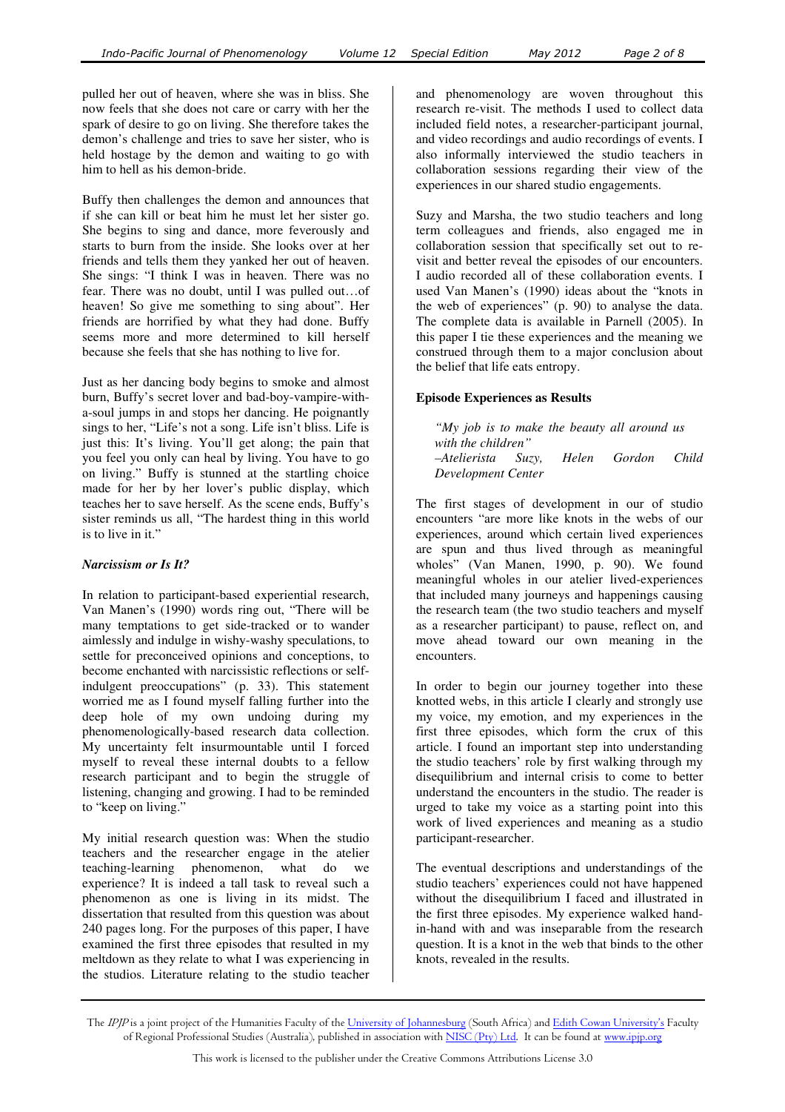pulled her out of heaven, where she was in bliss. She now feels that she does not care or carry with her the spark of desire to go on living. She therefore takes the demon's challenge and tries to save her sister, who is held hostage by the demon and waiting to go with him to hell as his demon-bride.

Buffy then challenges the demon and announces that if she can kill or beat him he must let her sister go. She begins to sing and dance, more feverously and starts to burn from the inside. She looks over at her friends and tells them they yanked her out of heaven. She sings: "I think I was in heaven. There was no fear. There was no doubt, until I was pulled out…of heaven! So give me something to sing about". Her friends are horrified by what they had done. Buffy seems more and more determined to kill herself because she feels that she has nothing to live for.

Just as her dancing body begins to smoke and almost burn, Buffy's secret lover and bad-boy-vampire-witha-soul jumps in and stops her dancing. He poignantly sings to her, "Life's not a song. Life isn't bliss. Life is just this: It's living. You'll get along; the pain that you feel you only can heal by living. You have to go on living." Buffy is stunned at the startling choice made for her by her lover's public display, which teaches her to save herself. As the scene ends, Buffy's sister reminds us all, "The hardest thing in this world is to live in it."

### *Narcissism or Is It?*

In relation to participant-based experiential research, Van Manen's (1990) words ring out, "There will be many temptations to get side-tracked or to wander aimlessly and indulge in wishy-washy speculations, to settle for preconceived opinions and conceptions, to become enchanted with narcissistic reflections or selfindulgent preoccupations" (p. 33). This statement worried me as I found myself falling further into the deep hole of my own undoing during my phenomenologically-based research data collection. My uncertainty felt insurmountable until I forced myself to reveal these internal doubts to a fellow research participant and to begin the struggle of listening, changing and growing. I had to be reminded to "keep on living."

My initial research question was: When the studio teachers and the researcher engage in the atelier teaching-learning phenomenon, what do we experience? It is indeed a tall task to reveal such a phenomenon as one is living in its midst. The dissertation that resulted from this question was about 240 pages long. For the purposes of this paper, I have examined the first three episodes that resulted in my meltdown as they relate to what I was experiencing in the studios. Literature relating to the studio teacher

and phenomenology are woven throughout this research re-visit. The methods I used to collect data included field notes, a researcher-participant journal, and video recordings and audio recordings of events. I also informally interviewed the studio teachers in collaboration sessions regarding their view of the experiences in our shared studio engagements.

Suzy and Marsha, the two studio teachers and long term colleagues and friends, also engaged me in collaboration session that specifically set out to revisit and better reveal the episodes of our encounters. I audio recorded all of these collaboration events. I used Van Manen's (1990) ideas about the "knots in the web of experiences" (p. 90) to analyse the data. The complete data is available in Parnell (2005). In this paper I tie these experiences and the meaning we construed through them to a major conclusion about the belief that life eats entropy.

### **Episode Experiences as Results**

*"My job is to make the beauty all around us with the children" –Atelierista Suzy, Helen Gordon Child Development Center* 

The first stages of development in our of studio encounters "are more like knots in the webs of our experiences, around which certain lived experiences are spun and thus lived through as meaningful wholes" (Van Manen, 1990, p. 90). We found meaningful wholes in our atelier lived-experiences that included many journeys and happenings causing the research team (the two studio teachers and myself as a researcher participant) to pause, reflect on, and move ahead toward our own meaning in the encounters.

In order to begin our journey together into these knotted webs, in this article I clearly and strongly use my voice, my emotion, and my experiences in the first three episodes, which form the crux of this article. I found an important step into understanding the studio teachers' role by first walking through my disequilibrium and internal crisis to come to better understand the encounters in the studio. The reader is urged to take my voice as a starting point into this work of lived experiences and meaning as a studio participant-researcher.

The eventual descriptions and understandings of the studio teachers' experiences could not have happened without the disequilibrium I faced and illustrated in the first three episodes. My experience walked handin-hand with and was inseparable from the research question. It is a knot in the web that binds to the other knots, revealed in the results.

The *IPJP* is a joint project of the Humanities Faculty of the <u>University of Johannesburg</u> (South Africa) and <u>Edith Cowan University's</u> Faculty of Regional Professional Studies (Australia), published in association with <u>NISC (Pty) Ltd</u>. It can be found at <u>www.ipjp.org</u>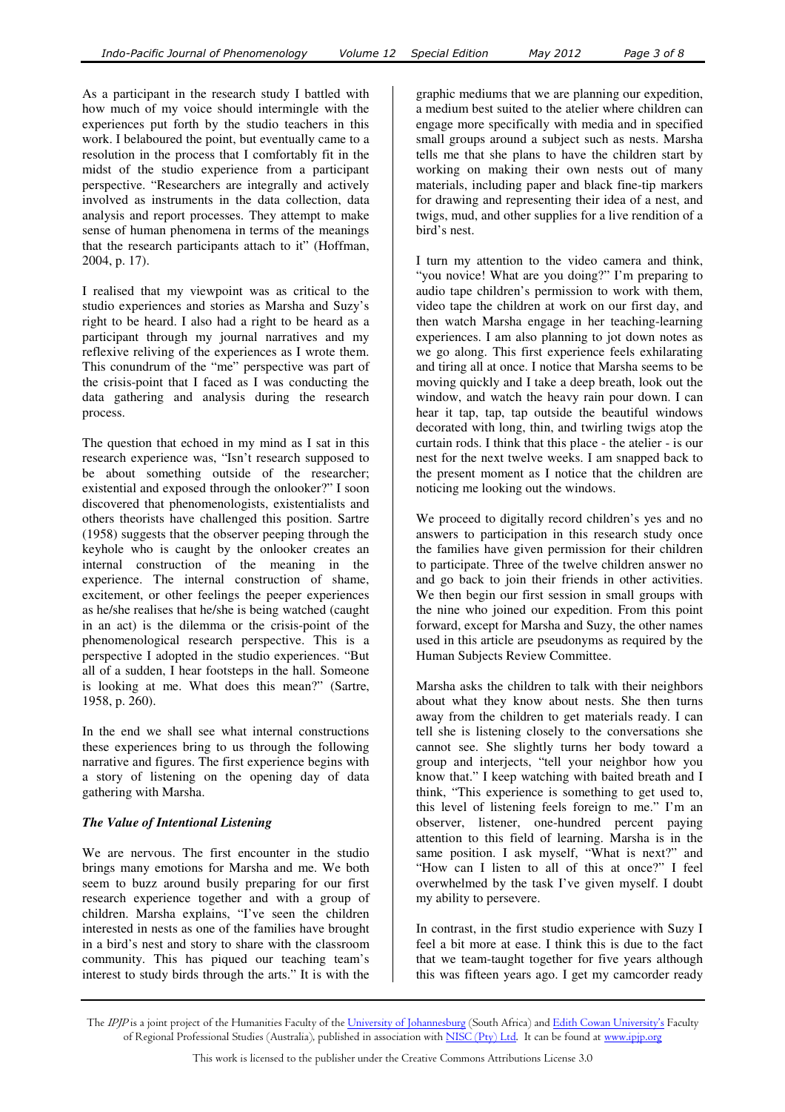As a participant in the research study I battled with how much of my voice should intermingle with the experiences put forth by the studio teachers in this work. I belaboured the point, but eventually came to a resolution in the process that I comfortably fit in the midst of the studio experience from a participant perspective. "Researchers are integrally and actively involved as instruments in the data collection, data analysis and report processes. They attempt to make sense of human phenomena in terms of the meanings that the research participants attach to it" (Hoffman, 2004, p. 17).

I realised that my viewpoint was as critical to the studio experiences and stories as Marsha and Suzy's right to be heard. I also had a right to be heard as a participant through my journal narratives and my reflexive reliving of the experiences as I wrote them. This conundrum of the "me" perspective was part of the crisis-point that I faced as I was conducting the data gathering and analysis during the research process.

The question that echoed in my mind as I sat in this research experience was, "Isn't research supposed to be about something outside of the researcher; existential and exposed through the onlooker?" I soon discovered that phenomenologists, existentialists and others theorists have challenged this position. Sartre (1958) suggests that the observer peeping through the keyhole who is caught by the onlooker creates an internal construction of the meaning in the experience. The internal construction of shame, excitement, or other feelings the peeper experiences as he/she realises that he/she is being watched (caught in an act) is the dilemma or the crisis-point of the phenomenological research perspective. This is a perspective I adopted in the studio experiences. "But all of a sudden, I hear footsteps in the hall. Someone is looking at me. What does this mean?" (Sartre, 1958, p. 260).

In the end we shall see what internal constructions these experiences bring to us through the following narrative and figures. The first experience begins with a story of listening on the opening day of data gathering with Marsha.

### *The Value of Intentional Listening*

We are nervous. The first encounter in the studio brings many emotions for Marsha and me. We both seem to buzz around busily preparing for our first research experience together and with a group of children. Marsha explains, "I've seen the children interested in nests as one of the families have brought in a bird's nest and story to share with the classroom community. This has piqued our teaching team's interest to study birds through the arts." It is with the

graphic mediums that we are planning our expedition, a medium best suited to the atelier where children can engage more specifically with media and in specified small groups around a subject such as nests. Marsha tells me that she plans to have the children start by working on making their own nests out of many materials, including paper and black fine-tip markers for drawing and representing their idea of a nest, and twigs, mud, and other supplies for a live rendition of a bird's nest.

I turn my attention to the video camera and think, "you novice! What are you doing?" I'm preparing to audio tape children's permission to work with them, video tape the children at work on our first day, and then watch Marsha engage in her teaching-learning experiences. I am also planning to jot down notes as we go along. This first experience feels exhilarating and tiring all at once. I notice that Marsha seems to be moving quickly and I take a deep breath, look out the window, and watch the heavy rain pour down. I can hear it tap, tap, tap outside the beautiful windows decorated with long, thin, and twirling twigs atop the curtain rods. I think that this place - the atelier - is our nest for the next twelve weeks. I am snapped back to the present moment as I notice that the children are noticing me looking out the windows.

We proceed to digitally record children's yes and no answers to participation in this research study once the families have given permission for their children to participate. Three of the twelve children answer no and go back to join their friends in other activities. We then begin our first session in small groups with the nine who joined our expedition. From this point forward, except for Marsha and Suzy, the other names used in this article are pseudonyms as required by the Human Subjects Review Committee.

Marsha asks the children to talk with their neighbors about what they know about nests. She then turns away from the children to get materials ready. I can tell she is listening closely to the conversations she cannot see. She slightly turns her body toward a group and interjects, "tell your neighbor how you know that." I keep watching with baited breath and I think, "This experience is something to get used to, this level of listening feels foreign to me." I'm an observer, listener, one-hundred percent paying attention to this field of learning. Marsha is in the same position. I ask myself, "What is next?" and "How can I listen to all of this at once?" I feel overwhelmed by the task I've given myself. I doubt my ability to persevere.

In contrast, in the first studio experience with Suzy I feel a bit more at ease. I think this is due to the fact that we team-taught together for five years although this was fifteen years ago. I get my camcorder ready

The *IPJP* is a joint project of the Humanities Faculty of the <u>University of Johannesburg</u> (South Africa) and <u>Edith Cowan University's</u> Faculty of Regional Professional Studies (Australia), published in association with <u>NISC (Pty) Ltd</u>. It can be found at <u>www.ipjp.org</u>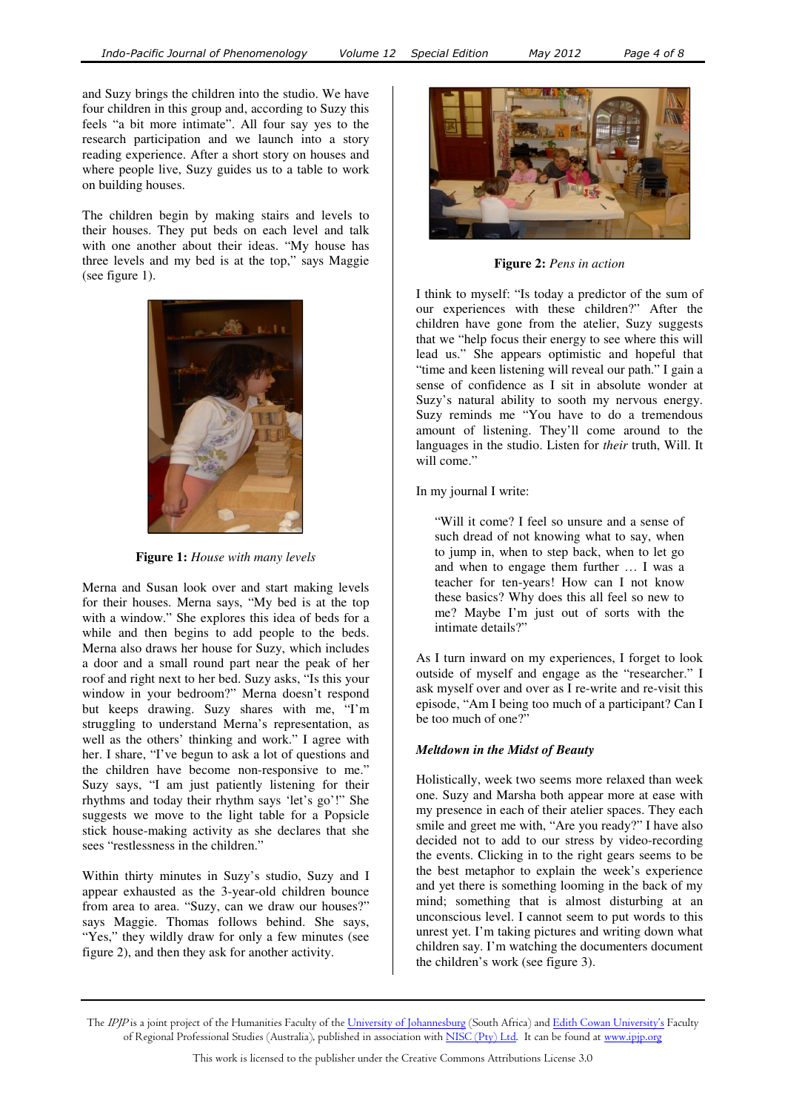and Suzy brings the children into the studio. We have four children in this group and, according to Suzy this feels "a bit more intimate". All four say yes to the research participation and we launch into a story reading experience. After a short story on houses and where people live, Suzy guides us to a table to work on building houses.

The children begin by making stairs and levels to their houses. They put beds on each level and talk with one another about their ideas. "My house has three levels and my bed is at the top," says Maggie (see figure 1).



**Figure 1:** *House with many levels* 

Merna and Susan look over and start making levels for their houses. Merna says, "My bed is at the top with a window." She explores this idea of beds for a while and then begins to add people to the beds. Merna also draws her house for Suzy, which includes a door and a small round part near the peak of her roof and right next to her bed. Suzy asks, "Is this your window in your bedroom?" Merna doesn't respond but keeps drawing. Suzy shares with me, "I'm struggling to understand Merna's representation, as well as the others' thinking and work." I agree with her. I share, "I've begun to ask a lot of questions and the children have become non-responsive to me." Suzy says, "I am just patiently listening for their rhythms and today their rhythm says 'let's go'!" She suggests we move to the light table for a Popsicle stick house-making activity as she declares that she sees "restlessness in the children."

Within thirty minutes in Suzy's studio, Suzy and I appear exhausted as the 3-year-old children bounce from area to area. "Suzy, can we draw our houses?" says Maggie. Thomas follows behind. She says, "Yes," they wildly draw for only a few minutes (see figure 2), and then they ask for another activity.



**Figure 2:** *Pens in action* 

I think to myself: "Is today a predictor of the sum of our experiences with these children?" After the children have gone from the atelier, Suzy suggests that we "help focus their energy to see where this will lead us." She appears optimistic and hopeful that "time and keen listening will reveal our path." I gain a sense of confidence as I sit in absolute wonder at Suzy's natural ability to sooth my nervous energy. Suzy reminds me "You have to do a tremendous amount of listening. They'll come around to the languages in the studio. Listen for *their* truth, Will. It will come."

In my journal I write:

"Will it come? I feel so unsure and a sense of such dread of not knowing what to say, when to jump in, when to step back, when to let go and when to engage them further … I was a teacher for ten-years! How can I not know these basics? Why does this all feel so new to me? Maybe I'm just out of sorts with the intimate details?"

As I turn inward on my experiences, I forget to look outside of myself and engage as the "researcher." I ask myself over and over as I re-write and re-visit this episode, "Am I being too much of a participant? Can I be too much of one?"

# *Meltdown in the Midst of Beauty*

Holistically, week two seems more relaxed than week one. Suzy and Marsha both appear more at ease with my presence in each of their atelier spaces. They each smile and greet me with, "Are you ready?" I have also decided not to add to our stress by video-recording the events. Clicking in to the right gears seems to be the best metaphor to explain the week's experience and yet there is something looming in the back of my mind; something that is almost disturbing at an unconscious level. I cannot seem to put words to this unrest yet. I'm taking pictures and writing down what children say. I'm watching the documenters document the children's work (see figure 3).

The IPJP is a joint project of the Humanities Faculty of the University of Johannesburg (South Africa) and Edith Cowan University's Faculty of Regional Professional Studies (Australia), published in association with NISC (Pty) Ltd. It can be found at www.ipjp.org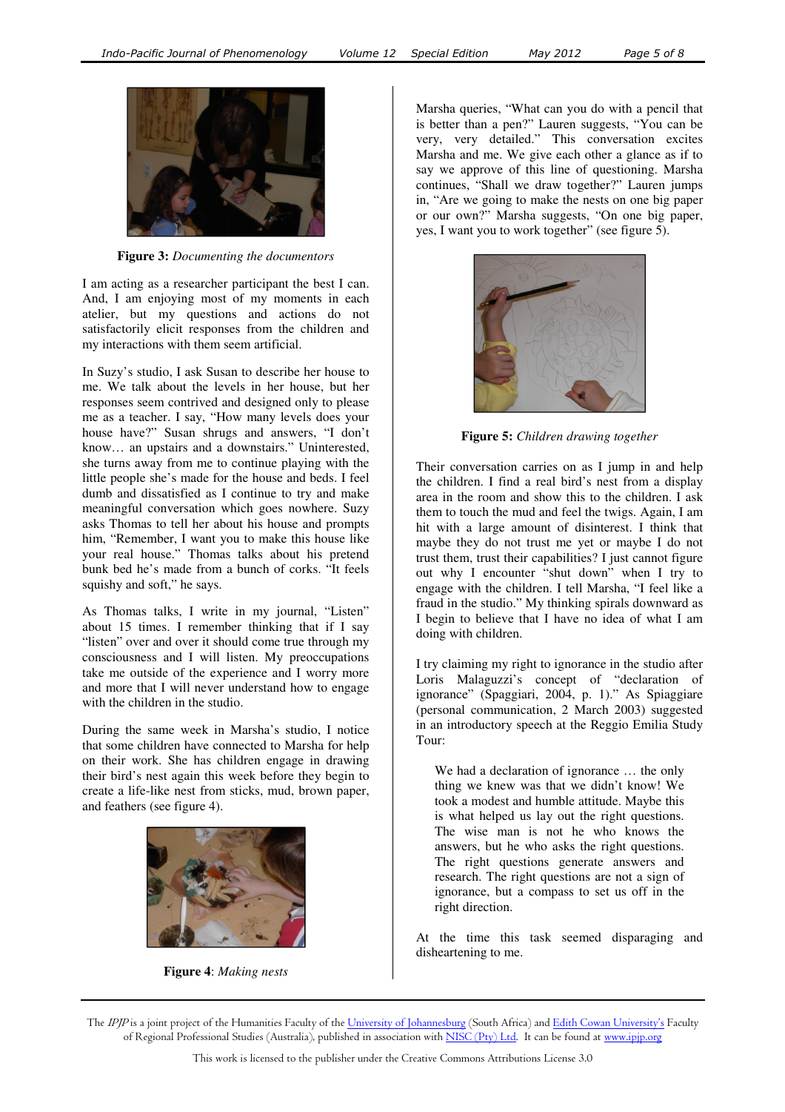**Figure 3:** *Documenting the documentors* 

I am acting as a researcher participant the best I can. And, I am enjoying most of my moments in each atelier, but my questions and actions do not satisfactorily elicit responses from the children and my interactions with them seem artificial.

In Suzy's studio, I ask Susan to describe her house to me. We talk about the levels in her house, but her responses seem contrived and designed only to please me as a teacher. I say, "How many levels does your house have?" Susan shrugs and answers, "I don't know… an upstairs and a downstairs." Uninterested, she turns away from me to continue playing with the little people she's made for the house and beds. I feel dumb and dissatisfied as I continue to try and make meaningful conversation which goes nowhere. Suzy asks Thomas to tell her about his house and prompts him, "Remember, I want you to make this house like your real house." Thomas talks about his pretend bunk bed he's made from a bunch of corks. "It feels squishy and soft," he says.

As Thomas talks, I write in my journal, "Listen" about 15 times. I remember thinking that if I say "listen" over and over it should come true through my consciousness and I will listen. My preoccupations take me outside of the experience and I worry more and more that I will never understand how to engage with the children in the studio.

During the same week in Marsha's studio, I notice that some children have connected to Marsha for help on their work. She has children engage in drawing their bird's nest again this week before they begin to create a life-like nest from sticks, mud, brown paper, and feathers (see figure 4).



**Figure 4**: *Making nests* 

Marsha queries, "What can you do with a pencil that is better than a pen?" Lauren suggests, "You can be very, very detailed." This conversation excites Marsha and me. We give each other a glance as if to say we approve of this line of questioning. Marsha continues, "Shall we draw together?" Lauren jumps in, "Are we going to make the nests on one big paper or our own?" Marsha suggests, "On one big paper, yes, I want you to work together" (see figure 5).



**Figure 5:** *Children drawing together* 

Their conversation carries on as I jump in and help the children. I find a real bird's nest from a display area in the room and show this to the children. I ask them to touch the mud and feel the twigs. Again, I am hit with a large amount of disinterest. I think that maybe they do not trust me yet or maybe I do not trust them, trust their capabilities? I just cannot figure out why I encounter "shut down" when I try to engage with the children. I tell Marsha, "I feel like a fraud in the studio." My thinking spirals downward as I begin to believe that I have no idea of what I am doing with children.

I try claiming my right to ignorance in the studio after Loris Malaguzzi's concept of "declaration of ignorance" (Spaggiari, 2004, p. 1)." As Spiaggiare (personal communication, 2 March 2003) suggested in an introductory speech at the Reggio Emilia Study Tour:

We had a declaration of ignorance ... the only thing we knew was that we didn't know! We took a modest and humble attitude. Maybe this is what helped us lay out the right questions. The wise man is not he who knows the answers, but he who asks the right questions. The right questions generate answers and research. The right questions are not a sign of ignorance, but a compass to set us off in the right direction.

At the time this task seemed disparaging and disheartening to me.

The IPJP is a joint project of the Humanities Faculty of the University of Johannesburg (South Africa) and Edith Cowan University's Faculty of Regional Professional Studies (Australia), published in association with NISC (Pty) Ltd. It can be found at www.ipjp.org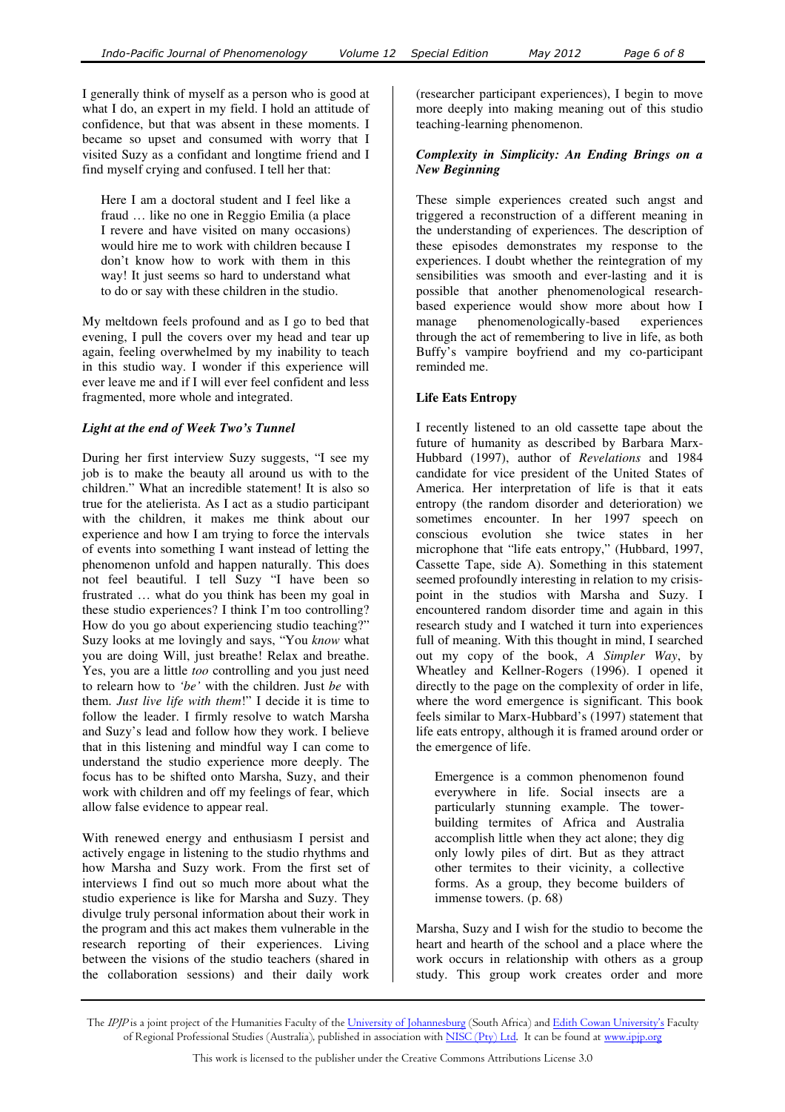I generally think of myself as a person who is good at what I do, an expert in my field. I hold an attitude of confidence, but that was absent in these moments. I became so upset and consumed with worry that I visited Suzy as a confidant and longtime friend and I find myself crying and confused. I tell her that:

Here I am a doctoral student and I feel like a fraud … like no one in Reggio Emilia (a place I revere and have visited on many occasions) would hire me to work with children because I don't know how to work with them in this way! It just seems so hard to understand what to do or say with these children in the studio.

My meltdown feels profound and as I go to bed that evening, I pull the covers over my head and tear up again, feeling overwhelmed by my inability to teach in this studio way. I wonder if this experience will ever leave me and if I will ever feel confident and less fragmented, more whole and integrated.

### *Light at the end of Week Two's Tunnel*

During her first interview Suzy suggests, "I see my job is to make the beauty all around us with to the children." What an incredible statement! It is also so true for the atelierista. As I act as a studio participant with the children, it makes me think about our experience and how I am trying to force the intervals of events into something I want instead of letting the phenomenon unfold and happen naturally. This does not feel beautiful. I tell Suzy "I have been so frustrated … what do you think has been my goal in these studio experiences? I think I'm too controlling? How do you go about experiencing studio teaching?" Suzy looks at me lovingly and says, "You *know* what you are doing Will, just breathe! Relax and breathe. Yes, you are a little *too* controlling and you just need to relearn how to *'be'* with the children. Just *be* with them. *Just live life with them*!" I decide it is time to follow the leader. I firmly resolve to watch Marsha and Suzy's lead and follow how they work. I believe that in this listening and mindful way I can come to understand the studio experience more deeply. The focus has to be shifted onto Marsha, Suzy, and their work with children and off my feelings of fear, which allow false evidence to appear real.

With renewed energy and enthusiasm I persist and actively engage in listening to the studio rhythms and how Marsha and Suzy work. From the first set of interviews I find out so much more about what the studio experience is like for Marsha and Suzy. They divulge truly personal information about their work in the program and this act makes them vulnerable in the research reporting of their experiences. Living between the visions of the studio teachers (shared in the collaboration sessions) and their daily work

(researcher participant experiences), I begin to move more deeply into making meaning out of this studio teaching-learning phenomenon.

### *Complexity in Simplicity: An Ending Brings on a New Beginning*

These simple experiences created such angst and triggered a reconstruction of a different meaning in the understanding of experiences. The description of these episodes demonstrates my response to the experiences. I doubt whether the reintegration of my sensibilities was smooth and ever-lasting and it is possible that another phenomenological researchbased experience would show more about how I manage phenomenologically-based experiences through the act of remembering to live in life, as both Buffy's vampire boyfriend and my co-participant reminded me.

## **Life Eats Entropy**

I recently listened to an old cassette tape about the future of humanity as described by Barbara Marx-Hubbard (1997), author of *Revelations* and 1984 candidate for vice president of the United States of America. Her interpretation of life is that it eats entropy (the random disorder and deterioration) we sometimes encounter. In her 1997 speech on conscious evolution she twice states in her microphone that "life eats entropy," (Hubbard, 1997, Cassette Tape, side A). Something in this statement seemed profoundly interesting in relation to my crisispoint in the studios with Marsha and Suzy. I encountered random disorder time and again in this research study and I watched it turn into experiences full of meaning. With this thought in mind, I searched out my copy of the book, *A Simpler Way*, by Wheatley and Kellner-Rogers (1996). I opened it directly to the page on the complexity of order in life, where the word emergence is significant. This book feels similar to Marx-Hubbard's (1997) statement that life eats entropy, although it is framed around order or the emergence of life.

Emergence is a common phenomenon found everywhere in life. Social insects are a particularly stunning example. The towerbuilding termites of Africa and Australia accomplish little when they act alone; they dig only lowly piles of dirt. But as they attract other termites to their vicinity, a collective forms. As a group, they become builders of immense towers. (p. 68)

Marsha, Suzy and I wish for the studio to become the heart and hearth of the school and a place where the work occurs in relationship with others as a group study. This group work creates order and more

The *IPJP* is a joint project of the Humanities Faculty of the <u>University of Johannesburg</u> (South Africa) and <u>Edith Cowan University's</u> Faculty of Regional Professional Studies (Australia), published in association with <u>NISC (Pty) Ltd</u>. It can be found at <u>www.ipjp.org</u>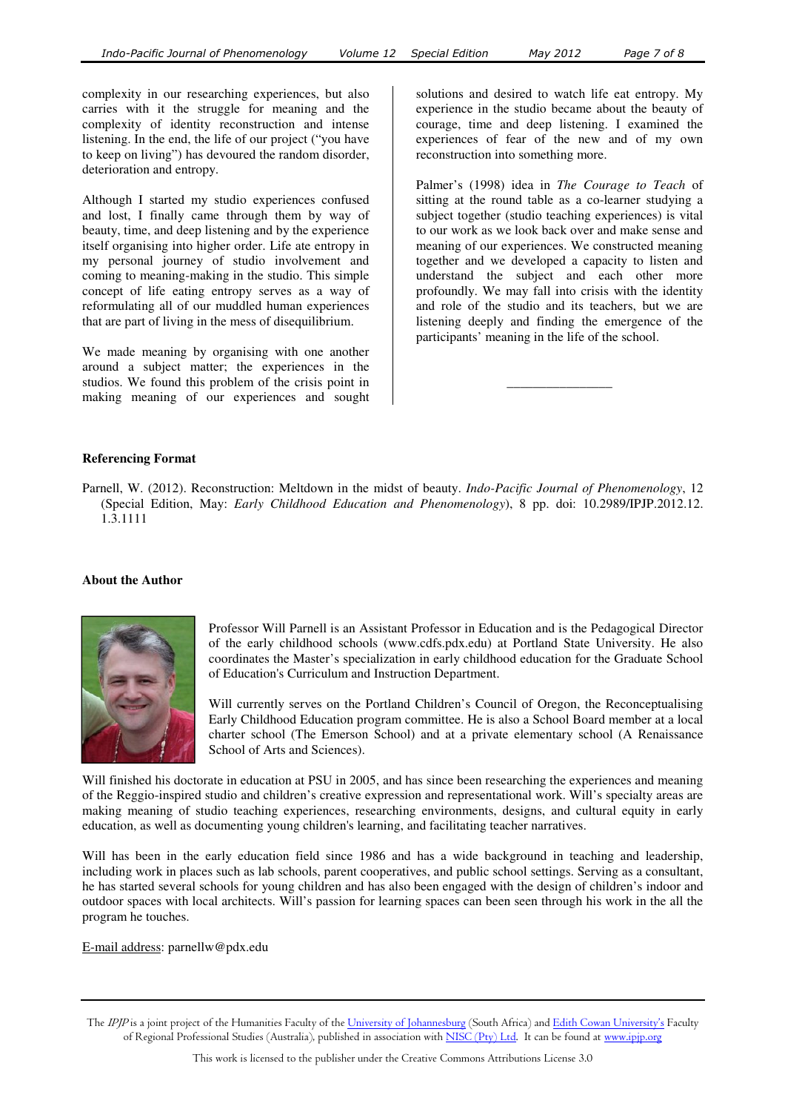complexity in our researching experiences, but also carries with it the struggle for meaning and the complexity of identity reconstruction and intense listening. In the end, the life of our project ("you have to keep on living") has devoured the random disorder, deterioration and entropy.

Although I started my studio experiences confused and lost, I finally came through them by way of beauty, time, and deep listening and by the experience itself organising into higher order. Life ate entropy in my personal journey of studio involvement and coming to meaning-making in the studio. This simple concept of life eating entropy serves as a way of reformulating all of our muddled human experiences that are part of living in the mess of disequilibrium.

We made meaning by organising with one another around a subject matter; the experiences in the studios. We found this problem of the crisis point in making meaning of our experiences and sought solutions and desired to watch life eat entropy. My experience in the studio became about the beauty of courage, time and deep listening. I examined the experiences of fear of the new and of my own reconstruction into something more.

Palmer's (1998) idea in *The Courage to Teach* of sitting at the round table as a co-learner studying a subject together (studio teaching experiences) is vital to our work as we look back over and make sense and meaning of our experiences. We constructed meaning together and we developed a capacity to listen and understand the subject and each other more profoundly. We may fall into crisis with the identity and role of the studio and its teachers, but we are listening deeply and finding the emergence of the participants' meaning in the life of the school.

\_\_\_\_\_\_\_\_\_\_\_\_\_\_\_\_

#### **Referencing Format**

Parnell, W. (2012). Reconstruction: Meltdown in the midst of beauty. *Indo-Pacific Journal of Phenomenology*, 12 (Special Edition, May: *Early Childhood Education and Phenomenology*), 8 pp. doi: 10.2989/IPJP.2012.12. 1.3.1111

#### **About the Author**



Professor Will Parnell is an Assistant Professor in Education and is the Pedagogical Director of the early childhood schools (www.cdfs.pdx.edu) at Portland State University. He also coordinates the Master's specialization in early childhood education for the Graduate School of Education's Curriculum and Instruction Department.

Will currently serves on the Portland Children's Council of Oregon, the Reconceptualising Early Childhood Education program committee. He is also a School Board member at a local charter school (The Emerson School) and at a private elementary school (A Renaissance School of Arts and Sciences).

Will finished his doctorate in education at PSU in 2005, and has since been researching the experiences and meaning of the Reggio-inspired studio and children's creative expression and representational work. Will's specialty areas are making meaning of studio teaching experiences, researching environments, designs, and cultural equity in early education, as well as documenting young children's learning, and facilitating teacher narratives.

Will has been in the early education field since 1986 and has a wide background in teaching and leadership, including work in places such as lab schools, parent cooperatives, and public school settings. Serving as a consultant, he has started several schools for young children and has also been engaged with the design of children's indoor and outdoor spaces with local architects. Will's passion for learning spaces can been seen through his work in the all the program he touches.

E-mail address: parnellw@pdx.edu

The IPJP is a joint project of the Humanities Faculty of the University of Johannesburg (South Africa) and Edith Cowan University's Faculty of Regional Professional Studies (Australia), published in association with NISC (Pty) Ltd. It can be found at www.ipjp.org